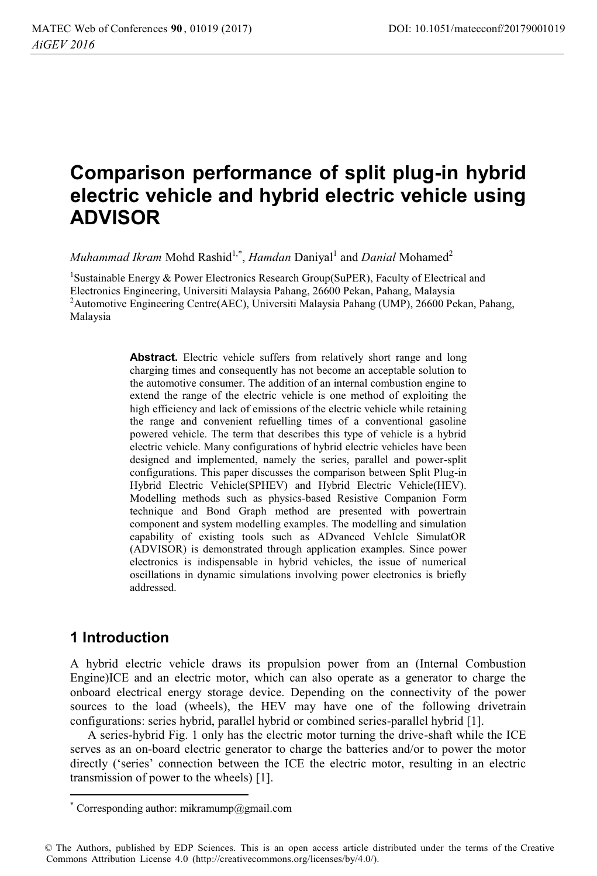# **Comparison performance of split plug-in hybrid electric vehicle and hybrid electric vehicle using ADVISOR**

*Muhammad Ikram* Mohd Rashid<sup>1,\*</sup>, *Hamdan* Daniyal<sup>1</sup> and *Danial* Mohamed<sup>2</sup>

<sup>1</sup>Sustainable Energy & Power Electronics Research Group(SuPER), Faculty of Electrical and Electronics Engineering, Universiti Malaysia Pahang, 26600 Pekan, Pahang, Malaysia 2 <sup>2</sup> Automotive Engineering Centre(AEC), Universiti Malaysia Pahang (UMP), 26600 Pekan, Pahang, Malaysia

> **Abstract.** Electric vehicle suffers from relatively short range and long charging times and consequently has not become an acceptable solution to the automotive consumer. The addition of an internal combustion engine to extend the range of the electric vehicle is one method of exploiting the high efficiency and lack of emissions of the electric vehicle while retaining the range and convenient refuelling times of a conventional gasoline powered vehicle. The term that describes this type of vehicle is a hybrid electric vehicle. Many configurations of hybrid electric vehicles have been designed and implemented, namely the series, parallel and power-split configurations. This paper discusses the comparison between Split Plug-in Hybrid Electric Vehicle(SPHEV) and Hybrid Electric Vehicle(HEV). Modelling methods such as physics-based Resistive Companion Form technique and Bond Graph method are presented with powertrain component and system modelling examples. The modelling and simulation capability of existing tools such as ADvanced VehIcle SimulatOR (ADVISOR) is demonstrated through application examples. Since power electronics is indispensable in hybrid vehicles, the issue of numerical oscillations in dynamic simulations involving power electronics is briefly addressed.

# **1 Introduction**

 $\overline{a}$ 

A hybrid electric vehicle draws its propulsion power from an (Internal Combustion Engine)ICE and an electric motor, which can also operate as a generator to charge the onboard electrical energy storage device. Depending on the connectivity of the power sources to the load (wheels), the HEV may have one of the following drivetrain configurations: series hybrid, parallel hybrid or combined series-parallel hybrid [1].

A series-hybrid Fig. 1 only has the electric motor turning the drive-shaft while the ICE serves as an on-board electric generator to charge the batteries and/or to power the motor directly ('series' connection between the ICE the electric motor, resulting in an electric transmission of power to the wheels) [1].

<sup>\*</sup> Corresponding author: mikramump@gmail.com

<sup>©</sup> The Authors, published by EDP Sciences. This is an open access article distributed under the terms of the Creative Commons Attribution License 4.0 (http://creativecommons.org/licenses/by/4.0/).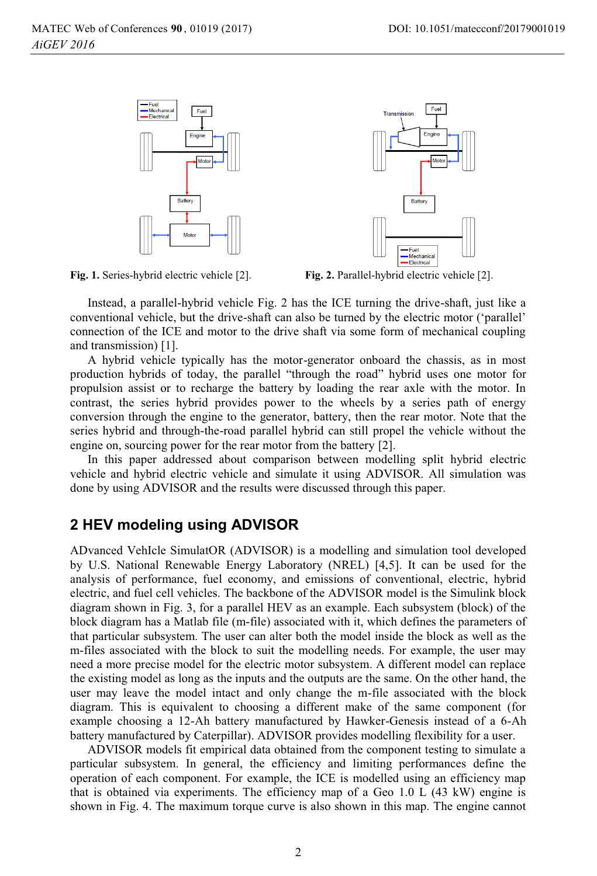



**Fig. 1.** Series-hybrid electric vehicle [2]. **Fig. 2.** Parallel-hybrid electric vehicle [2].

Instead, a parallel-hybrid vehicle Fig. 2 has the ICE turning the drive-shaft, just like a conventional vehicle, but the drive-shaft can also be turned by the electric motor ('parallel' connection of the ICE and motor to the drive shaft via some form of mechanical coupling and transmission) [1].

A hybrid vehicle typically has the motor-generator onboard the chassis, as in most production hybrids of today, the parallel "through the road" hybrid uses one motor for propulsion assist or to recharge the battery by loading the rear axle with the motor. In contrast, the series hybrid provides power to the wheels by a series path of energy conversion through the engine to the generator, battery, then the rear motor. Note that the series hybrid and through-the-road parallel hybrid can still propel the vehicle without the engine on, sourcing power for the rear motor from the battery [2].

In this paper addressed about comparison between modelling split hybrid electric vehicle and hybrid electric vehicle and simulate it using ADVISOR. All simulation was done by using ADVISOR and the results were discussed through this paper.

# **2 HEV modeling using ADVISOR**

ADvanced VehIcle SimulatOR (ADVISOR) is a modelling and simulation tool developed by U.S. National Renewable Energy Laboratory (NREL) [4,5]. It can be used for the analysis of performance, fuel economy, and emissions of conventional, electric, hybrid electric, and fuel cell vehicles. The backbone of the ADVISOR model is the Simulink block diagram shown in Fig. 3, for a parallel HEV as an example. Each subsystem (block) of the block diagram has a Matlab file (m-file) associated with it, which defines the parameters of that particular subsystem. The user can alter both the model inside the block as well as the m-files associated with the block to suit the modelling needs. For example, the user may need a more precise model for the electric motor subsystem. A different model can replace the existing model as long as the inputs and the outputs are the same. On the other hand, the user may leave the model intact and only change the m-file associated with the block diagram. This is equivalent to choosing a different make of the same component (for example choosing a 12-Ah battery manufactured by Hawker-Genesis instead of a 6-Ah battery manufactured by Caterpillar). ADVISOR provides modelling flexibility for a user.

ADVISOR models fit empirical data obtained from the component testing to simulate a particular subsystem. In general, the efficiency and limiting performances define the operation of each component. For example, the ICE is modelled using an efficiency map that is obtained via experiments. The efficiency map of a Geo 1.0 L (43 kW) engine is shown in Fig. 4. The maximum torque curve is also shown in this map. The engine cannot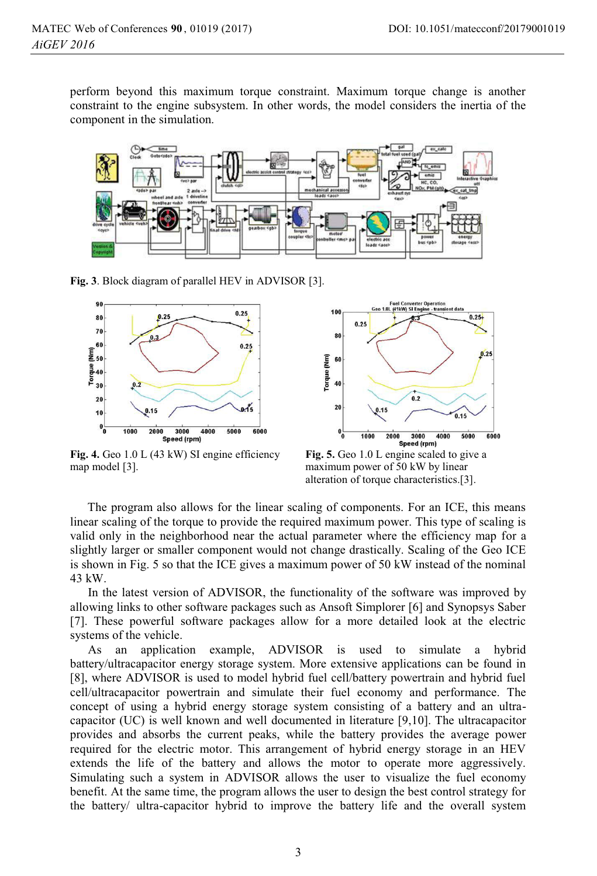perform beyond this maximum torque constraint. Maximum torque change is another constraint to the engine subsystem. In other words, the model considers the inertia of the component in the simulation.



**Fig. 3**. Block diagram of parallel HEV in ADVISOR [3].





Fig. 4. Geo 1.0 L (43 kW) SI engine efficiency map model [3].

**Fig. 5.** Geo 1.0 L engine scaled to give a maximum power of 50 kW by linear alteration of torque characteristics.[3].

The program also allows for the linear scaling of components. For an ICE, this means linear scaling of the torque to provide the required maximum power. This type of scaling is valid only in the neighborhood near the actual parameter where the efficiency map for a slightly larger or smaller component would not change drastically. Scaling of the Geo ICE is shown in Fig. 5 so that the ICE gives a maximum power of 50 kW instead of the nominal 43 kW.

In the latest version of ADVISOR, the functionality of the software was improved by allowing links to other software packages such as Ansoft Simplorer [6] and Synopsys Saber [7]. These powerful software packages allow for a more detailed look at the electric systems of the vehicle.

As an application example, ADVISOR is used to simulate a hybrid battery/ultracapacitor energy storage system. More extensive applications can be found in [8], where ADVISOR is used to model hybrid fuel cell/battery powertrain and hybrid fuel cell/ultracapacitor powertrain and simulate their fuel economy and performance. The concept of using a hybrid energy storage system consisting of a battery and an ultracapacitor (UC) is well known and well documented in literature [9,10]. The ultracapacitor provides and absorbs the current peaks, while the battery provides the average power required for the electric motor. This arrangement of hybrid energy storage in an HEV extends the life of the battery and allows the motor to operate more aggressively. Simulating such a system in ADVISOR allows the user to visualize the fuel economy benefit. At the same time, the program allows the user to design the best control strategy for the battery/ ultra-capacitor hybrid to improve the battery life and the overall system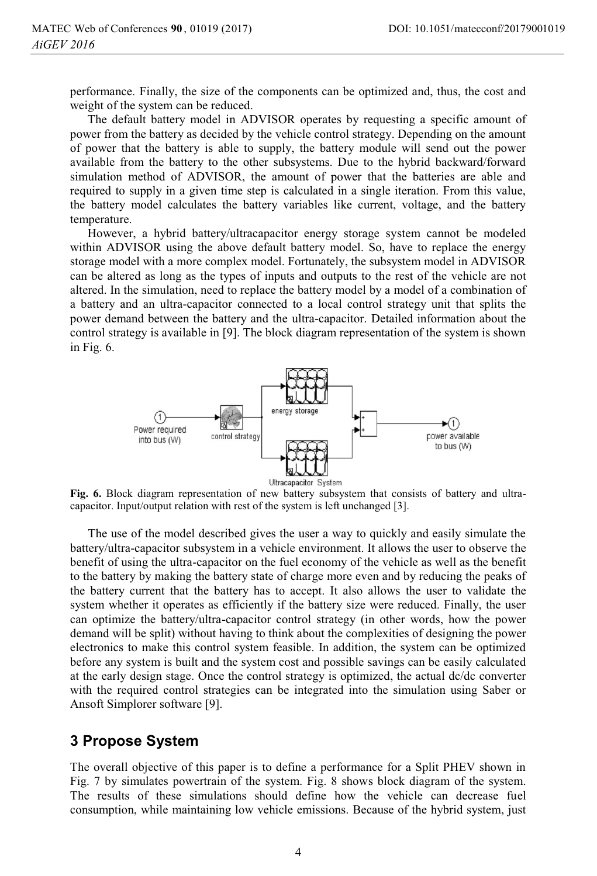performance. Finally, the size of the components can be optimized and, thus, the cost and weight of the system can be reduced.

The default battery model in ADVISOR operates by requesting a specific amount of power from the battery as decided by the vehicle control strategy. Depending on the amount of power that the battery is able to supply, the battery module will send out the power available from the battery to the other subsystems. Due to the hybrid backward/forward simulation method of ADVISOR, the amount of power that the batteries are able and required to supply in a given time step is calculated in a single iteration. From this value, the battery model calculates the battery variables like current, voltage, and the battery temperature.

However, a hybrid battery/ultracapacitor energy storage system cannot be modeled within ADVISOR using the above default battery model. So, have to replace the energy storage model with a more complex model. Fortunately, the subsystem model in ADVISOR can be altered as long as the types of inputs and outputs to the rest of the vehicle are not altered. In the simulation, need to replace the battery model by a model of a combination of a battery and an ultra-capacitor connected to a local control strategy unit that splits the power demand between the battery and the ultra-capacitor. Detailed information about the control strategy is available in [9]. The block diagram representation of the system is shown in Fig. 6.



**Fig. 6.** Block diagram representation of new battery subsystem that consists of battery and ultracapacitor. Input/output relation with rest of the system is left unchanged [3].

The use of the model described gives the user a way to quickly and easily simulate the battery/ultra-capacitor subsystem in a vehicle environment. It allows the user to observe the benefit of using the ultra-capacitor on the fuel economy of the vehicle as well as the benefit to the battery by making the battery state of charge more even and by reducing the peaks of the battery current that the battery has to accept. It also allows the user to validate the system whether it operates as efficiently if the battery size were reduced. Finally, the user can optimize the battery/ultra-capacitor control strategy (in other words, how the power demand will be split) without having to think about the complexities of designing the power electronics to make this control system feasible. In addition, the system can be optimized before any system is built and the system cost and possible savings can be easily calculated at the early design stage. Once the control strategy is optimized, the actual dc/dc converter with the required control strategies can be integrated into the simulation using Saber or Ansoft Simplorer software [9].

### **3 Propose System**

The overall objective of this paper is to define a performance for a Split PHEV shown in Fig. 7 by simulates powertrain of the system. Fig. 8 shows block diagram of the system. The results of these simulations should define how the vehicle can decrease fuel consumption, while maintaining low vehicle emissions. Because of the hybrid system, just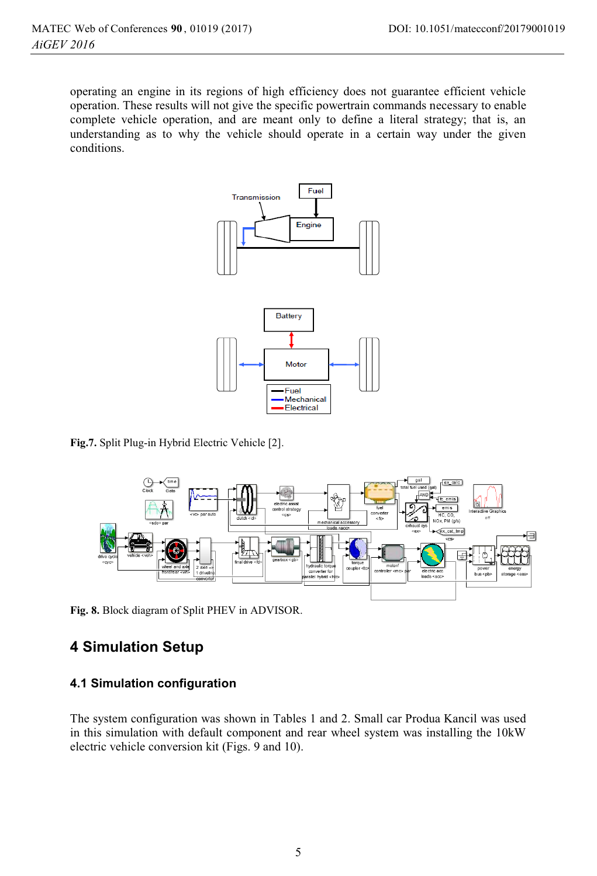operating an engine in its regions of high efficiency does not guarantee efficient vehicle operation. These results will not give the specific powertrain commands necessary to enable complete vehicle operation, and are meant only to define a literal strategy; that is, an understanding as to why the vehicle should operate in a certain way under the given conditions.



**Fig.7.** Split Plug-in Hybrid Electric Vehicle [2].



**Fig. 8.** Block diagram of Split PHEV in ADVISOR.

# **4 Simulation Setup**

#### **4.1 Simulation configuration**

The system configuration was shown in Tables 1 and 2. Small car Produa Kancil was used in this simulation with default component and rear wheel system was installing the 10kW electric vehicle conversion kit (Figs. 9 and 10).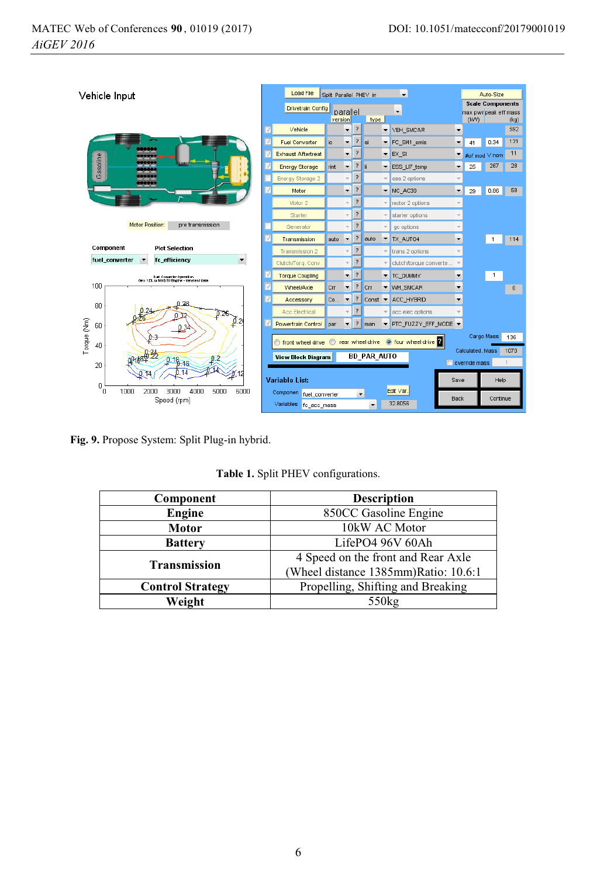

**Fig. 9.** Propose System: Split Plug-in hybrid.

|  | Table 1. Split PHEV configurations. |
|--|-------------------------------------|
|  |                                     |

| Component               | <b>Description</b>                                                         |  |  |  |  |  |  |
|-------------------------|----------------------------------------------------------------------------|--|--|--|--|--|--|
| <b>Engine</b>           | 850CC Gasoline Engine                                                      |  |  |  |  |  |  |
| <b>Motor</b>            | 10kW AC Motor                                                              |  |  |  |  |  |  |
| <b>Battery</b>          | LifePO4 96V 60Ah                                                           |  |  |  |  |  |  |
| <b>Transmission</b>     | 4 Speed on the front and Rear Axle<br>(Wheel distance 1385mm)Ratio: 10.6:1 |  |  |  |  |  |  |
| <b>Control Strategy</b> | Propelling, Shifting and Breaking                                          |  |  |  |  |  |  |
| Weight                  | 550kg                                                                      |  |  |  |  |  |  |
|                         |                                                                            |  |  |  |  |  |  |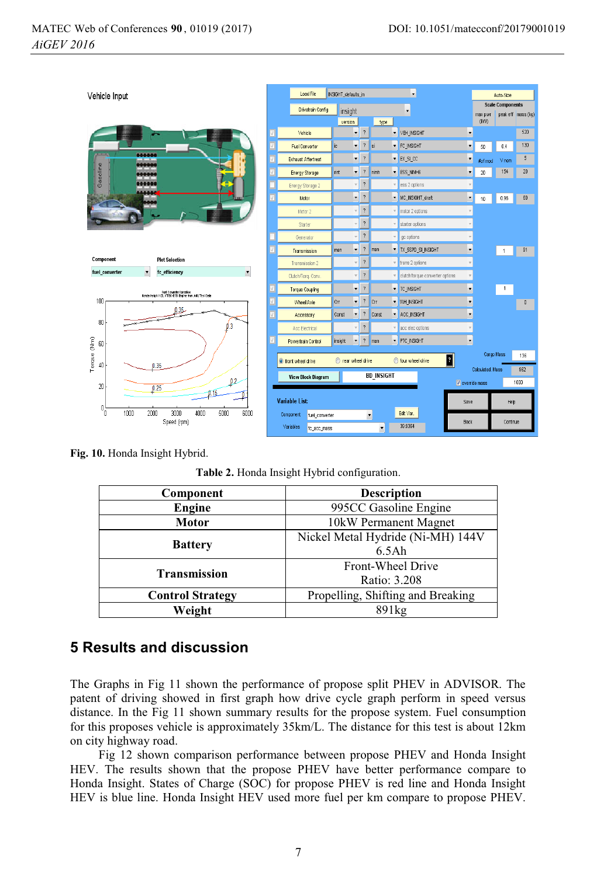| Vehicle Input                                                                                                       |           | Load File                                                                                                        | $\overline{\phantom{a}}$<br>INSIGHT_defaults_in |                          |                          |          |                                            | Auto-Size                |                                  |       |                    |
|---------------------------------------------------------------------------------------------------------------------|-----------|------------------------------------------------------------------------------------------------------------------|-------------------------------------------------|--------------------------|--------------------------|----------|--------------------------------------------|--------------------------|----------------------------------|-------|--------------------|
|                                                                                                                     |           | <b>Drivetrain Config</b>                                                                                         |                                                 |                          |                          |          |                                            | <b>Scale Components</b>  |                                  |       |                    |
|                                                                                                                     |           |                                                                                                                  |                                                 | insight<br>version       |                          | type     | ۰                                          |                          | max pwr<br>(kW)                  |       | peak eff mass (kg) |
| <b>COLOR</b><br>000000<br>Gasoline<br>000000<br>000000<br><del></del> .                                             |           | Vehicle                                                                                                          |                                                 | ۰                        | $\overline{\mathbf{r}}$  |          | VEH INSIGHT                                | $\mathbf{v}$             |                                  |       | 520                |
|                                                                                                                     |           | <b>Fuel Converter</b>                                                                                            | ic.                                             | 7                        | $\overline{\mathbf{?}}$  | si       | FC_NSIGHT                                  | $\overline{\mathbf{v}}$  | 50                               | 0.4   | 130                |
|                                                                                                                     |           | <b>Exhaust Aftertreat</b>                                                                                        |                                                 | 7                        | $\overline{\mathbf{?}}$  |          | - EX SI CC                                 | ۰                        | #of mod                          | V nom | 5                  |
|                                                                                                                     |           | Energy Storage                                                                                                   | rint                                            | ۰.                       | $\overline{\mathcal{L}}$ | nimh     | <b>V</b> ESS NMH6                          | $\overline{\phantom{a}}$ | 20                               | 154   | 20                 |
|                                                                                                                     |           | Energy Storage 2                                                                                                 |                                                 | v                        | $\overline{\phantom{a}}$ |          | $\vee$ ess 2 options                       |                          |                                  |       |                    |
|                                                                                                                     |           | Motor                                                                                                            |                                                 | $\overline{\phantom{a}}$ | $\overline{\mathbf{?}}$  |          | ▼ MC_INSIGHT_draft                         | v                        | 10                               | 0.96  | 60                 |
|                                                                                                                     |           | Motor 2                                                                                                          |                                                 | v                        | $\overline{\mathbf{?}}$  |          | motor 2 options                            |                          |                                  |       |                    |
|                                                                                                                     |           | Starter                                                                                                          |                                                 | v                        | $\overline{\mathbf{r}}$  |          | starter options<br>$\overline{\mathbf{v}}$ |                          |                                  |       |                    |
|                                                                                                                     |           | Generator                                                                                                        |                                                 | v                        | $\overline{\mathcal{L}}$ |          | gc options<br>$\forall$                    |                          |                                  |       |                    |
|                                                                                                                     |           | Transmission                                                                                                     | man                                             | ۰                        | $\overline{\mathcal{L}}$ | man      | V TX_5SPD_SI_NSIGHT                        | ۰                        |                                  |       | 91                 |
| Component<br><b>Plot Selection</b>                                                                                  |           | Transmission 2                                                                                                   |                                                 | v                        | $\overline{\phantom{a}}$ |          | $\vee$ trans 2 options                     | $\mathbf{v}$             |                                  |       |                    |
| $\overline{\phantom{a}}$<br>fuel converter<br>fc efficiency<br>$\blacktriangledown$                                 |           | Clutch/Torq. Conv.                                                                                               |                                                 | v                        | $\overline{\phantom{a}}$ |          | v clutch/torque converter options          |                          |                                  |       |                    |
| Fuel Converter Operation<br>Ronda Insighi 1.01. VTBC-ESI Engine from AVIL Tesi Data<br>100<br>$0.35 -$<br>80<br>0.3 |           | <b>Torque Coupling</b>                                                                                           |                                                 | $\blacktriangledown$     | $\overline{\mathbf{?}}$  |          | TC_NSIGHT                                  | $\pmb{\mathrm{v}}$       |                                  | 1     |                    |
|                                                                                                                     |           | Wheel/Axle                                                                                                       | Crr                                             | 7                        | $\overline{\mathbf{?}}$  | Crr      | <b>v</b> MH_NSIGHT                         | ۰                        |                                  |       | $\mathbf 0$        |
|                                                                                                                     |           | Accessory                                                                                                        | Const                                           | ۰                        | $\overline{\mathbf{?}}$  | Const    | <b>v</b> ACC INSIGHT                       | ۰                        |                                  |       |                    |
|                                                                                                                     |           | Acc Electrical                                                                                                   |                                                 |                          | $\overline{\mathcal{L}}$ |          | acc elec options<br>$\forall$              |                          |                                  |       |                    |
| 60                                                                                                                  | $\sqrt{}$ | Powertrain Control                                                                                               | insight                                         | $\blacktriangledown$     | $\sqrt{ }$               | man      | T PTC_INSIGHT                              | $\blacktriangledown$     |                                  |       |                    |
| Torque (Nm)<br>40<br>0.35<br>0.2<br>20<br>$\sqrt{25}$<br>0.15                                                       |           | $\vert$<br>ear wheel drive<br>tour wheel drive<br><b>O</b> front wheel drive                                     |                                                 |                          |                          |          | Cargo Mass                                 |                          | 136                              |       |                    |
|                                                                                                                     |           | <b>BD INSIGHT</b><br><b>View Block Diagram</b>                                                                   |                                                 |                          |                          |          |                                            |                          | Calculated, Mass                 |       | 962                |
|                                                                                                                     |           |                                                                                                                  |                                                 |                          |                          |          |                                            |                          | $\sqrt{ }$ override mass<br>1000 |       |                    |
| 0                                                                                                                   |           | <b>Variable List:</b>                                                                                            |                                                 |                          |                          |          | Save                                       | Help                     |                                  |       |                    |
| 2000<br>3000<br>4000<br>5000<br>6000<br>1000<br>Ō<br>Speed (rpm)                                                    |           | Edit Var.<br>$\overline{\phantom{a}}$<br>Component<br>fuel_converter<br>39,9364<br>Variables<br>fc_acc_mass<br>٠ |                                                 |                          | Back                     | Continue |                                            |                          |                                  |       |                    |
|                                                                                                                     |           |                                                                                                                  |                                                 |                          |                          |          |                                            |                          |                                  |       |                    |

**Fig. 10.** Honda Insight Hybrid.

**Table 2.** Honda Insight Hybrid configuration.

| Component               | <b>Description</b>                |  |  |  |  |  |
|-------------------------|-----------------------------------|--|--|--|--|--|
| Engine                  | 995CC Gasoline Engine             |  |  |  |  |  |
| <b>Motor</b>            | 10kW Permanent Magnet             |  |  |  |  |  |
|                         | Nickel Metal Hydride (Ni-MH) 144V |  |  |  |  |  |
| <b>Battery</b>          | 6.5Ah                             |  |  |  |  |  |
| <b>Transmission</b>     | Front-Wheel Drive                 |  |  |  |  |  |
|                         | Ratio: 3.208                      |  |  |  |  |  |
| <b>Control Strategy</b> | Propelling, Shifting and Breaking |  |  |  |  |  |
| Weight                  | 891kg                             |  |  |  |  |  |
|                         |                                   |  |  |  |  |  |

# **5 Results and discussion**

The Graphs in Fig 11 shown the performance of propose split PHEV in ADVISOR. The patent of driving showed in first graph how drive cycle graph perform in speed versus distance. In the Fig 11 shown summary results for the propose system. Fuel consumption for this proposes vehicle is approximately 35km/L. The distance for this test is about 12km on city highway road.

Fig 12 shown comparison performance between propose PHEV and Honda Insight HEV. The results shown that the propose PHEV have better performance compare to Honda Insight. States of Charge (SOC) for propose PHEV is red line and Honda Insight HEV is blue line. Honda Insight HEV used more fuel per km compare to propose PHEV.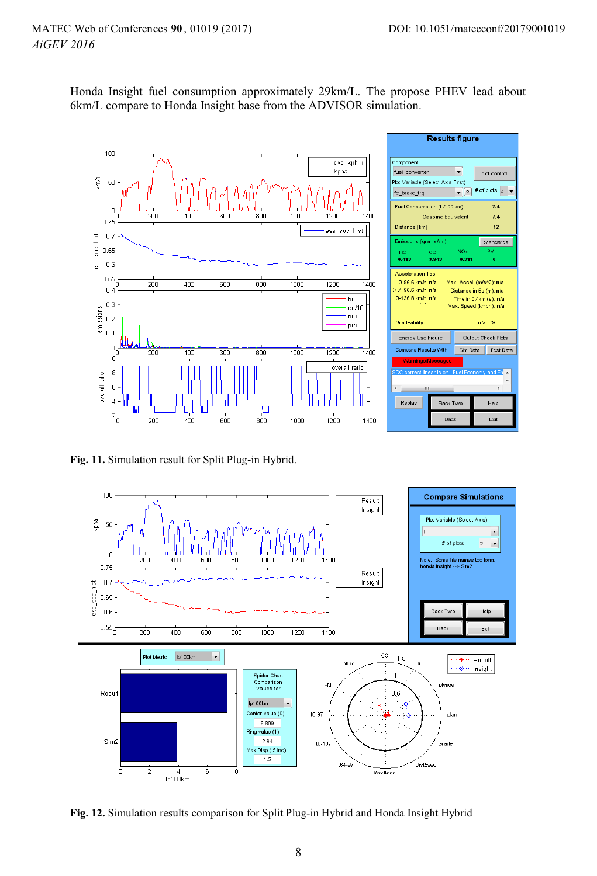Honda Insight fuel consumption approximately 29km/L. The propose PHEV lead about 6km/L compare to Honda Insight base from the ADVISOR simulation.





**Fig. 11.** Simulation result for Split Plug-in Hybrid.



**Fig. 12.** Simulation results comparison for Split Plug-in Hybrid and Honda Insight Hybrid